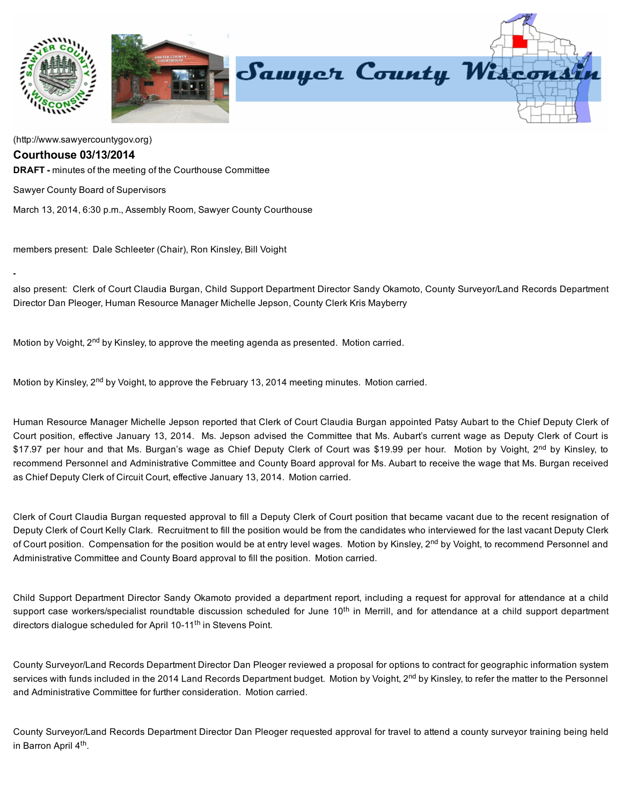

[\(http://www.sawyercountygov.org\)](http://www.sawyercountygov.org/)

## Courthouse 03/13/2014

**DRAFT** - minutes of the meeting of the Courthouse Committee

Sawyer County Board of Supervisors

March 13, 2014, 6:30 p.m., Assembly Room, Sawyer County Courthouse

members present: Dale Schleeter (Chair), Ron Kinsley, Bill Voight

also present: Clerk of Court Claudia Burgan, Child Support Department Director Sandy Okamoto, County Surveyor/Land Records Department Director Dan Pleoger, Human Resource Manager Michelle Jepson, County Clerk Kris Mayberry

Motion by Voight, 2<sup>nd</sup> by Kinsley, to approve the meeting agenda as presented. Motion carried.

Motion by Kinsley, 2<sup>nd</sup> by Voight, to approve the February 13, 2014 meeting minutes. Motion carried.

Human Resource Manager Michelle Jepson reported that Clerk of Court Claudia Burgan appointed Patsy Aubart to the Chief Deputy Clerk of Court position, effective January 13, 2014. Ms. Jepson advised the Committee that Ms. Aubart's current wage as Deputy Clerk of Court is \$17.97 per hour and that Ms. Burgan's wage as Chief Deputy Clerk of Court was \$19.99 per hour. Motion by Voight, 2<sup>nd</sup> by Kinsley, to recommend Personnel and Administrative Committee and County Board approval for Ms. Aubart to receive the wage that Ms. Burgan received as Chief Deputy Clerk of Circuit Court, effective January 13, 2014. Motion carried.

Clerk of Court Claudia Burgan requested approval to fill a Deputy Clerk of Court position that became vacant due to the recent resignation of Deputy Clerk of Court Kelly Clark. Recruitment to fill the position would be from the candidates who interviewed for the last vacant Deputy Clerk of Court position. Compensation for the position would be at entry level wages. Motion by Kinsley, 2<sup>nd</sup> by Voight, to recommend Personnel and Administrative Committee and County Board approval to fill the position. Motion carried.

Child Support Department Director Sandy Okamoto provided a department report, including a request for approval for attendance at a child support case workers/specialist roundtable discussion scheduled for June 10<sup>th</sup> in Merrill, and for attendance at a child support department directors dialogue scheduled for April 10-11<sup>th</sup> in Stevens Point.

County Surveyor/Land Records Department Director Dan Pleoger reviewed a proposal for options to contract for geographic information system services with funds included in the 2014 Land Records Department budget. Motion by Voight, 2<sup>nd</sup> by Kinsley, to refer the matter to the Personnel and Administrative Committee for further consideration. Motion carried.

County Surveyor/Land Records Department Director Dan Pleoger requested approval for travel to attend a county surveyor training being held in Barron April 4<sup>th</sup>.